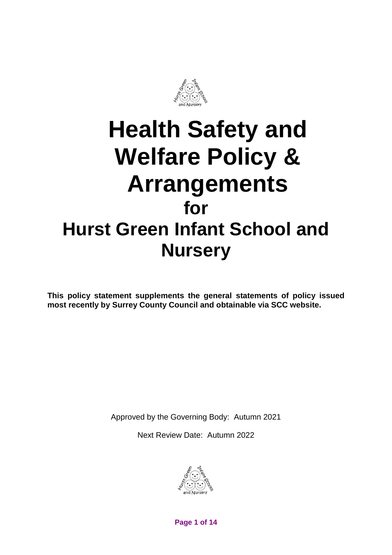

# **Health Safety and Welfare Policy & Arrangements for Hurst Green Infant School and Nursery**

**This policy statement supplements the general statements of policy issued most recently by Surrey County Council and obtainable via SCC website.**

Approved by the Governing Body: Autumn 2021

Next Review Date: Autumn 2022



**Page 1 of 14**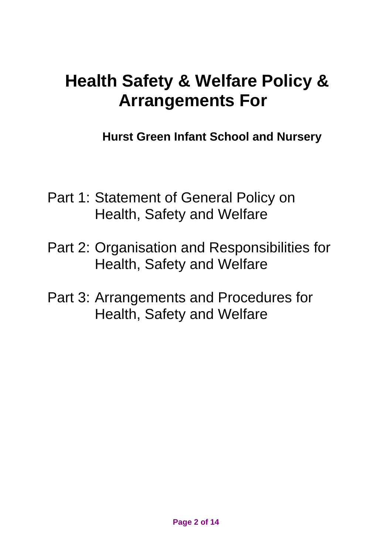# **Health Safety & Welfare Policy & Arrangements For**

**Hurst Green Infant School and Nursery**

- Part 1: Statement of General Policy on Health, Safety and Welfare
- Part 2: Organisation and Responsibilities for Health, Safety and Welfare
- Part 3: Arrangements and Procedures for Health, Safety and Welfare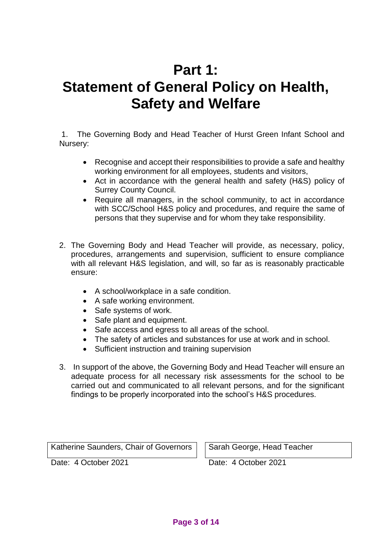# **Part 1: Statement of General Policy on Health, Safety and Welfare**

1. The Governing Body and Head Teacher of Hurst Green Infant School and Nursery:

- Recognise and accept their responsibilities to provide a safe and healthy working environment for all employees, students and visitors,
- Act in accordance with the general health and safety (H&S) policy of Surrey County Council.
- Require all managers, in the school community, to act in accordance with SCC/School H&S policy and procedures, and require the same of persons that they supervise and for whom they take responsibility.
- 2. The Governing Body and Head Teacher will provide, as necessary, policy, procedures, arrangements and supervision, sufficient to ensure compliance with all relevant H&S legislation, and will, so far as is reasonably practicable ensure:
	- A school/workplace in a safe condition.
	- A safe working environment.
	- Safe systems of work.
	- Safe plant and equipment.
	- Safe access and egress to all areas of the school.
	- The safety of articles and substances for use at work and in school.
	- Sufficient instruction and training supervision
- 3. In support of the above, the Governing Body and Head Teacher will ensure an adequate process for all necessary risk assessments for the school to be carried out and communicated to all relevant persons, and for the significant findings to be properly incorporated into the school's H&S procedures.

Katherine Saunders, Chair of Governors  $\vert \ \vert$  Sarah George, Head Teacher

Date: 4 October 2021 Date: 4 October 2021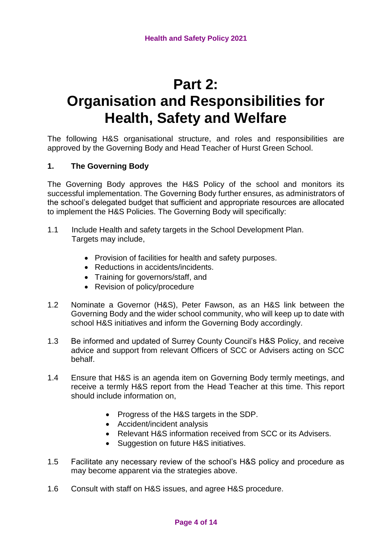# **Part 2: Organisation and Responsibilities for Health, Safety and Welfare**

The following H&S organisational structure, and roles and responsibilities are approved by the Governing Body and Head Teacher of Hurst Green School.

# **1. The Governing Body**

The Governing Body approves the H&S Policy of the school and monitors its successful implementation. The Governing Body further ensures, as administrators of the school's delegated budget that sufficient and appropriate resources are allocated to implement the H&S Policies. The Governing Body will specifically:

- 1.1 Include Health and safety targets in the School Development Plan. Targets may include,
	- Provision of facilities for health and safety purposes.
	- Reductions in accidents/incidents.
	- Training for governors/staff, and
	- Revision of policy/procedure
- 1.2 Nominate a Governor (H&S), Peter Fawson, as an H&S link between the Governing Body and the wider school community, who will keep up to date with school H&S initiatives and inform the Governing Body accordingly.
- 1.3 Be informed and updated of Surrey County Council's H&S Policy, and receive advice and support from relevant Officers of SCC or Advisers acting on SCC behalf.
- 1.4 Ensure that H&S is an agenda item on Governing Body termly meetings, and receive a termly H&S report from the Head Teacher at this time. This report should include information on,
	- Progress of the H&S targets in the SDP.
	- Accident/incident analysis
	- Relevant H&S information received from SCC or its Advisers.
	- Suggestion on future H&S initiatives.
- 1.5 Facilitate any necessary review of the school's H&S policy and procedure as may become apparent via the strategies above.
- 1.6 Consult with staff on H&S issues, and agree H&S procedure.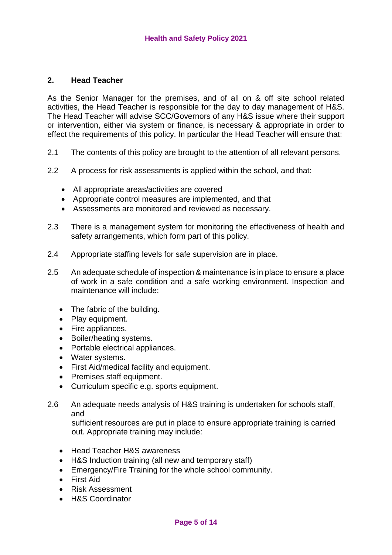# **2. Head Teacher**

As the Senior Manager for the premises, and of all on & off site school related activities, the Head Teacher is responsible for the day to day management of H&S. The Head Teacher will advise SCC/Governors of any H&S issue where their support or intervention, either via system or finance, is necessary & appropriate in order to effect the requirements of this policy. In particular the Head Teacher will ensure that:

- 2.1 The contents of this policy are brought to the attention of all relevant persons.
- 2.2 A process for risk assessments is applied within the school, and that:
	- All appropriate areas/activities are covered
	- Appropriate control measures are implemented, and that
	- Assessments are monitored and reviewed as necessary.
- 2.3 There is a management system for monitoring the effectiveness of health and safety arrangements, which form part of this policy.
- 2.4 Appropriate staffing levels for safe supervision are in place.
- 2.5 An adequate schedule of inspection & maintenance is in place to ensure a place of work in a safe condition and a safe working environment. Inspection and maintenance will include:
	- The fabric of the building.
	- Play equipment.
	- Fire appliances.
	- Boiler/heating systems.
	- Portable electrical appliances.
	- Water systems.
	- First Aid/medical facility and equipment.
	- Premises staff equipment.
	- Curriculum specific e.g. sports equipment.
- 2.6 An adequate needs analysis of H&S training is undertaken for schools staff, and

 sufficient resources are put in place to ensure appropriate training is carried out. Appropriate training may include:

- Head Teacher H&S awareness
- H&S Induction training (all new and temporary staff)
- Emergency/Fire Training for the whole school community.
- First Aid
- Risk Assessment
- H&S Coordinator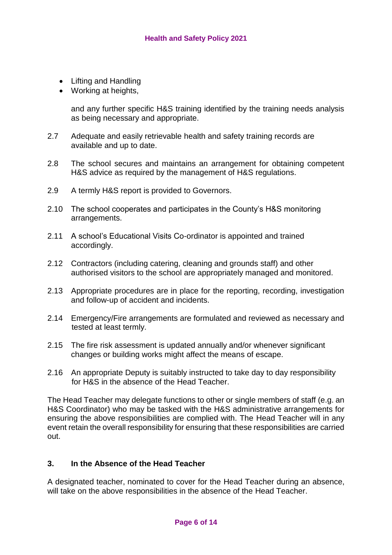- Lifting and Handling
- Working at heights,

and any further specific H&S training identified by the training needs analysis as being necessary and appropriate.

- 2.7 Adequate and easily retrievable health and safety training records are available and up to date.
- 2.8 The school secures and maintains an arrangement for obtaining competent H&S advice as required by the management of H&S regulations.
- 2.9 A termly H&S report is provided to Governors.
- 2.10 The school cooperates and participates in the County's H&S monitoring arrangements.
- 2.11 A school's Educational Visits Co-ordinator is appointed and trained accordingly.
- 2.12 Contractors (including catering, cleaning and grounds staff) and other authorised visitors to the school are appropriately managed and monitored.
- 2.13 Appropriate procedures are in place for the reporting, recording, investigation and follow-up of accident and incidents.
- 2.14 Emergency/Fire arrangements are formulated and reviewed as necessary and tested at least termly.
- 2.15 The fire risk assessment is updated annually and/or whenever significant changes or building works might affect the means of escape.
- 2.16 An appropriate Deputy is suitably instructed to take day to day responsibility for H&S in the absence of the Head Teacher.

The Head Teacher may delegate functions to other or single members of staff (e.g. an H&S Coordinator) who may be tasked with the H&S administrative arrangements for ensuring the above responsibilities are complied with. The Head Teacher will in any event retain the overall responsibility for ensuring that these responsibilities are carried out.

# **3. In the Absence of the Head Teacher**

A designated teacher, nominated to cover for the Head Teacher during an absence, will take on the above responsibilities in the absence of the Head Teacher.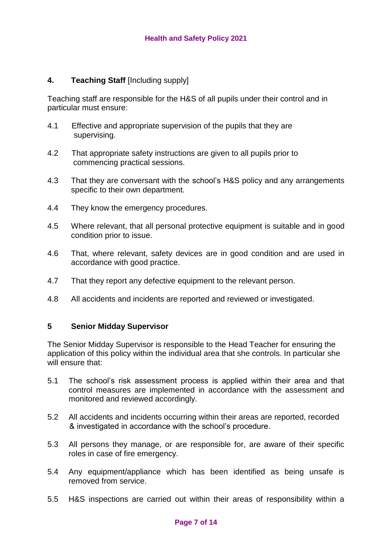# **4. Teaching Staff** [Including supply]

Teaching staff are responsible for the H&S of all pupils under their control and in particular must ensure:

- 4.1 Effective and appropriate supervision of the pupils that they are supervising.
- 4.2 That appropriate safety instructions are given to all pupils prior to commencing practical sessions.
- 4.3 That they are conversant with the school's H&S policy and any arrangements specific to their own department.
- 4.4 They know the emergency procedures.
- 4.5 Where relevant, that all personal protective equipment is suitable and in good condition prior to issue.
- 4.6 That, where relevant, safety devices are in good condition and are used in accordance with good practice.
- 4.7 That they report any defective equipment to the relevant person.
- 4.8 All accidents and incidents are reported and reviewed or investigated.

# **5 Senior Midday Supervisor**

The Senior Midday Supervisor is responsible to the Head Teacher for ensuring the application of this policy within the individual area that she controls. In particular she will ensure that:

- 5.1 The school's risk assessment process is applied within their area and that control measures are implemented in accordance with the assessment and monitored and reviewed accordingly.
- 5.2 All accidents and incidents occurring within their areas are reported, recorded & investigated in accordance with the school's procedure.
- 5.3 All persons they manage, or are responsible for, are aware of their specific roles in case of fire emergency.
- 5.4 Any equipment/appliance which has been identified as being unsafe is removed from service.
- 5.5 H&S inspections are carried out within their areas of responsibility within a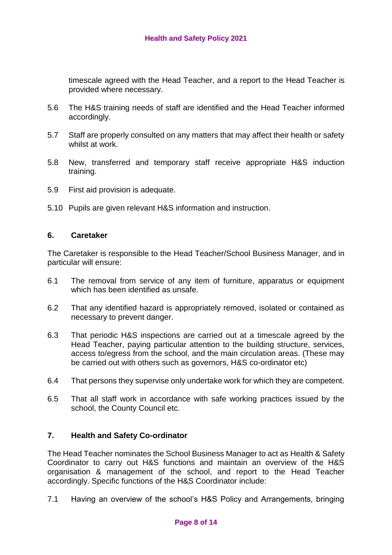timescale agreed with the Head Teacher, and a report to the Head Teacher is provided where necessary.

- 5.6 The H&S training needs of staff are identified and the Head Teacher informed accordingly.
- 5.7 Staff are properly consulted on any matters that may affect their health or safety whilst at work.
- 5.8 New, transferred and temporary staff receive appropriate H&S induction training.
- 5.9 First aid provision is adequate.
- 5.10 Pupils are given relevant H&S information and instruction.

# **6. Caretaker**

The Caretaker is responsible to the Head Teacher/School Business Manager, and in particular will ensure:

- 6.1 The removal from service of any item of furniture, apparatus or equipment which has been identified as unsafe.
- 6.2 That any identified hazard is appropriately removed, isolated or contained as necessary to prevent danger.
- 6.3 That periodic H&S inspections are carried out at a timescale agreed by the Head Teacher, paying particular attention to the building structure, services, access to/egress from the school, and the main circulation areas. (These may be carried out with others such as governors, H&S co-ordinator etc)
- 6.4 That persons they supervise only undertake work for which they are competent.
- 6.5 That all staff work in accordance with safe working practices issued by the school, the County Council etc.

# **7. Health and Safety Co-ordinator**

The Head Teacher nominates the School Business Manager to act as Health & Safety Coordinator to carry out H&S functions and maintain an overview of the H&S organisation & management of the school, and report to the Head Teacher accordingly. Specific functions of the H&S Coordinator include:

7.1 Having an overview of the school's H&S Policy and Arrangements, bringing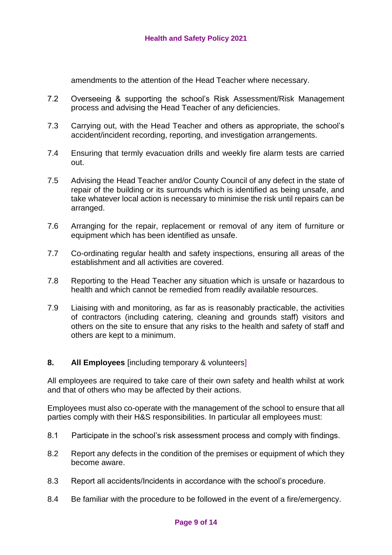amendments to the attention of the Head Teacher where necessary.

- 7.2 Overseeing & supporting the school's Risk Assessment/Risk Management process and advising the Head Teacher of any deficiencies.
- 7.3 Carrying out, with the Head Teacher and others as appropriate, the school's accident/incident recording, reporting, and investigation arrangements.
- 7.4 Ensuring that termly evacuation drills and weekly fire alarm tests are carried out.
- 7.5 Advising the Head Teacher and/or County Council of any defect in the state of repair of the building or its surrounds which is identified as being unsafe, and take whatever local action is necessary to minimise the risk until repairs can be arranged.
- 7.6 Arranging for the repair, replacement or removal of any item of furniture or equipment which has been identified as unsafe.
- 7.7 Co-ordinating regular health and safety inspections, ensuring all areas of the establishment and all activities are covered.
- 7.8 Reporting to the Head Teacher any situation which is unsafe or hazardous to health and which cannot be remedied from readily available resources.
- 7.9 Liaising with and monitoring, as far as is reasonably practicable, the activities of contractors (including catering, cleaning and grounds staff) visitors and others on the site to ensure that any risks to the health and safety of staff and others are kept to a minimum.

# **8. All Employees** [including temporary & volunteers]

All employees are required to take care of their own safety and health whilst at work and that of others who may be affected by their actions.

Employees must also co-operate with the management of the school to ensure that all parties comply with their H&S responsibilities. In particular all employees must:

- 8.1 Participate in the school's risk assessment process and comply with findings.
- 8.2 Report any defects in the condition of the premises or equipment of which they become aware.
- 8.3 Report all accidents/Incidents in accordance with the school's procedure.
- 8.4 Be familiar with the procedure to be followed in the event of a fire/emergency.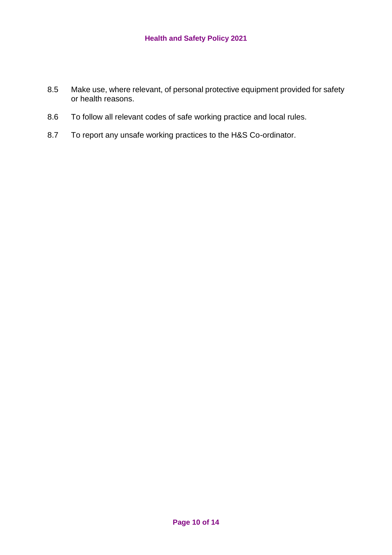- 8.5 Make use, where relevant, of personal protective equipment provided for safety or health reasons.
- 8.6 To follow all relevant codes of safe working practice and local rules.
- 8.7 To report any unsafe working practices to the H&S Co-ordinator.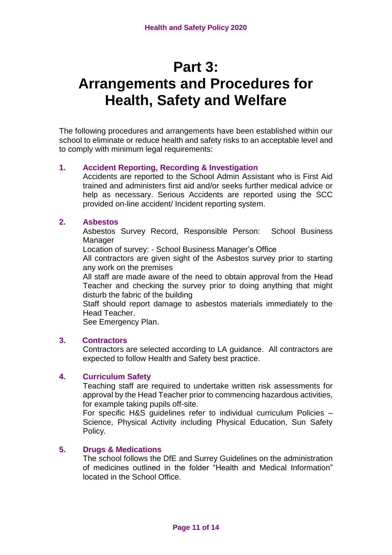# **Part 3: Arrangements and Procedures for Health, Safety and Welfare**

The following procedures and arrangements have been established within our school to eliminate or reduce health and safety risks to an acceptable level and to comply with minimum legal requirements:

# **1. Accident Reporting, Recording & Investigation**

Accidents are reported to the School Admin Assistant who is First Aid trained and administers first aid and/or seeks further medical advice or help as necessary. Serious Accidents are reported using the SCC provided on-line accident/ Incident reporting system.

# **2. Asbestos**

Asbestos Survey Record, Responsible Person: School Business Manager

Location of survey: - School Business Manager's Office

All contractors are given sight of the Asbestos survey prior to starting any work on the premises

All staff are made aware of the need to obtain approval from the Head Teacher and checking the survey prior to doing anything that might disturb the fabric of the building

Staff should report damage to asbestos materials immediately to the Head Teacher.

See Emergency Plan.

#### **3. Contractors**

Contractors are selected according to LA guidance. All contractors are expected to follow Health and Safety best practice.

# **4. Curriculum Safety**

Teaching staff are required to undertake written risk assessments for approval by the Head Teacher prior to commencing hazardous activities, for example taking pupils off-site.

For specific H&S guidelines refer to individual curriculum Policies – Science, Physical Activity including Physical Education, Sun Safety Policy*.*

# **5. Drugs & Medications**

The school follows the DfE and Surrey Guidelines on the administration of medicines outlined in the folder "Health and Medical Information" located in the School Office.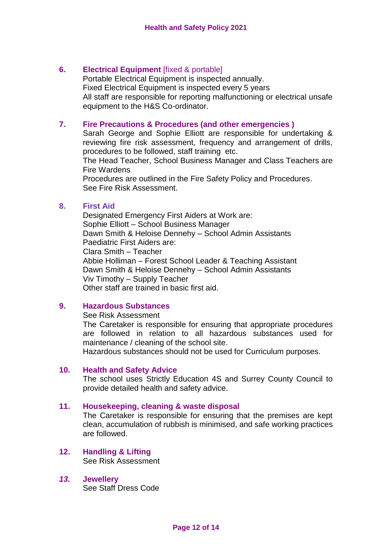# **6. Electrical Equipment** [fixed & portable]

Portable Electrical Equipment is inspected annually. Fixed Electrical Equipment is inspected every 5 years All staff are responsible for reporting malfunctioning or electrical unsafe equipment to the H&S Co-ordinator.

#### **7. Fire Precautions & Procedures (and other emergencies )**

Sarah George and Sophie Elliott are responsible for undertaking & reviewing fire risk assessment, frequency and arrangement of drills, procedures to be followed, staff training etc.

The Head Teacher, School Business Manager and Class Teachers are Fire Wardens

Procedures are outlined in the Fire Safety Policy and Procedures. See Fire Risk Assessment.

#### **8. First Aid**

Designated Emergency First Aiders at Work are: Sophie Elliott – School Business Manager Dawn Smith & Heloise Dennehy – School Admin Assistants Paediatric First Aiders are: Clara Smith – Teacher Abbie Holliman – Forest School Leader & Teaching Assistant Dawn Smith & Heloise Dennehy – School Admin Assistants Viv Timothy – Supply Teacher Other staff are trained in basic first aid.

## **9. Hazardous Substances**

See Risk Assessment

The Caretaker is responsible for ensuring that appropriate procedures are followed in relation to all hazardous substances used for maintenance / cleaning of the school site.

Hazardous substances should not be used for Curriculum purposes.

#### **10. Health and Safety Advice**

The school uses Strictly Education 4S and Surrey County Council to provide detailed health and safety advice.

#### **11. Housekeeping, cleaning & waste disposal**

The Caretaker is responsible for ensuring that the premises are kept clean, accumulation of rubbish is minimised, and safe working practices are followed.

**12. Handling & Lifting** See Risk Assessment

# *13.* **Jewellery**

See Staff Dress Code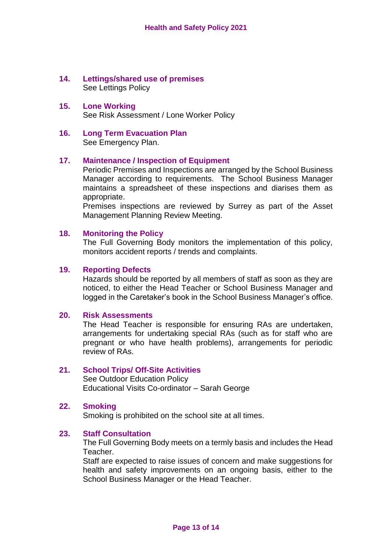# **14. Lettings/shared use of premises** See Lettings Policy

#### **15. Lone Working** See Risk Assessment / Lone Worker Policy

#### **16. Long Term Evacuation Plan** See Emergency Plan.

# **17. Maintenance / Inspection of Equipment**

Periodic Premises and Inspections are arranged by the School Business Manager according to requirements. The School Business Manager maintains a spreadsheet of these inspections and diarises them as appropriate.

Premises inspections are reviewed by Surrey as part of the Asset Management Planning Review Meeting.

# **18. Monitoring the Policy**

The Full Governing Body monitors the implementation of this policy, monitors accident reports / trends and complaints.

# **19. Reporting Defects**

Hazards should be reported by all members of staff as soon as they are noticed, to either the Head Teacher or School Business Manager and logged in the Caretaker's book in the School Business Manager's office.

#### **20. Risk Assessments**

The Head Teacher is responsible for ensuring RAs are undertaken, arrangements for undertaking special RAs (such as for staff who are pregnant or who have health problems), arrangements for periodic review of RAs.

#### **21. School Trips/ Off-Site Activities**

See Outdoor Education Policy Educational Visits Co-ordinator – Sarah George

# **22. Smoking**

Smoking is prohibited on the school site at all times.

# **23. Staff Consultation**

The Full Governing Body meets on a termly basis and includes the Head Teacher.

Staff are expected to raise issues of concern and make suggestions for health and safety improvements on an ongoing basis, either to the School Business Manager or the Head Teacher.